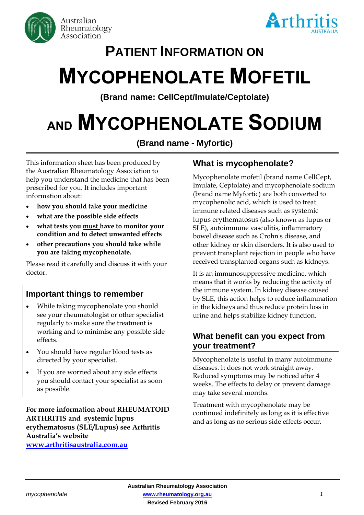



# **PATIENT INFORMATION ON**

# **MYCOPHENOLATE MOFETIL**

**(Brand name: CellCept/Imulate/Ceptolate)**

# **AND MYCOPHENOLATE SODIUM**

**(Brand name - Myfortic)**

This information sheet has been produced by the Australian Rheumatology Association to help you understand the medicine that has been prescribed for you. It includes important information about:

- **how you should take your medicine**
- **what are the possible side effects**
- **what tests you must have to monitor your condition and to detect unwanted effects**
- **other precautions you should take while you are taking mycophenolate.**

Please read it carefully and discuss it with your doctor.

# **Important things to remember**

- While taking mycophenolate you should see your rheumatologist or other specialist regularly to make sure the treatment is working and to minimise any possible side effects.
- You should have regular blood tests as directed by your specialist.
- If you are worried about any side effects you should contact your specialist as soon as possible.

**For more information about RHEUMATOID ARTHRITIS and systemic lupus erythematosus (SLE/Lupus) see Arthritis Australia's website [www.arthritisaustralia.com.au](http://www.arthritisaustralia.com.au/index.php/arthritis-information/information-sheets.html)**

# **What is mycophenolate?**

Mycophenolate mofetil (brand name CellCept, Imulate, Ceptolate) and mycophenolate sodium (brand name Myfortic) are both converted to mycophenolic acid, which is used to treat immune related diseases such as systemic lupus erythematosus (also known as lupus or SLE), autoimmune vasculitis, inflammatory bowel disease such as Crohn's disease, and other kidney or skin disorders. It is also used to prevent transplant rejection in people who have received transplanted organs such as kidneys.

It is an immunosuppressive medicine, which means that it works by reducing the activity of the immune system. In kidney disease caused by SLE, this action helps to reduce inflammation in the kidneys and thus reduce protein loss in urine and helps stabilize kidney function.

# **What benefit can you expect from your treatment?**

Mycophenolate is useful in many autoimmune diseases. It does not work straight away. Reduced symptoms may be noticed after 4 weeks. The effects to delay or prevent damage may take several months.

Treatment with mycophenolate may be continued indefinitely as long as it is effective and as long as no serious side effects occur.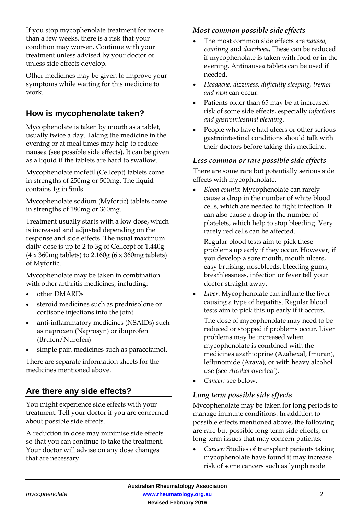If you stop mycophenolate treatment for more than a few weeks, there is a risk that your condition may worsen. Continue with your treatment unless advised by your doctor or unless side effects develop.

Other medicines may be given to improve your symptoms while waiting for this medicine to work.

# **How is mycophenolate taken?**

Mycophenolate is taken by mouth as a tablet, usually twice a day. Taking the medicine in the evening or at meal times may help to reduce nausea (see possible side effects). It can be given as a liquid if the tablets are hard to swallow.

Mycophenolate mofetil (Cellcept) tablets come in strengths of 250mg or 500mg. The liquid contains 1g in 5mls.

Mycophenolate sodium (Myfortic) tablets come in strengths of 180mg or 360mg.

Treatment usually starts with a low dose, which is increased and adjusted depending on the response and side effects. The usual maximum daily dose is up to 2 to 3g of Cellcept or 1.440g (4 x 360mg tablets) to 2.160g (6 x 360mg tablets) of Myfortic.

Mycophenolate may be taken in combination with other arthritis medicines, including:

- other DMARDs
- steroid medicines such as prednisolone or cortisone injections into the joint
- anti-inflammatory medicines (NSAIDs) such as naproxen (Naprosyn) or ibuprofen (Brufen/Nurofen)
- simple pain medicines such as paracetamol.

There are separate information sheets for the medicines mentioned above.

# **Are there any side effects?**

You might experience side effects with your treatment. Tell your doctor if you are concerned about possible side effects.

A reduction in dose may minimise side effects so that you can continue to take the treatment. Your doctor will advise on any dose changes that are necessary.

#### *Most common possible side effects*

- The most common side effects are *nausea, vomiting* and *diarrhoea*. These can be reduced if mycophenolate is taken with food or in the evening. Antinausea tablets can be used if needed.
- *Headache, dizziness, difficulty sleeping, tremor and rash* can occur.
- Patients older than 65 may be at increased risk of some side effects, especially *infections and gastrointestinal bleeding*.
- People who have had ulcers or other serious gastrointestinal conditions should talk with their doctors before taking this medicine.

#### *Less common or rare possible side effects*

There are some rare but potentially serious side effects with mycophenolate.

• *Blood counts*: Mycophenolate can rarely cause a drop in the number of white blood cells, which are needed to fight infection. It can also cause a drop in the number of platelets, which help to stop bleeding. Very rarely red cells can be affected.

Regular blood tests aim to pick these problems up early if they occur. However, if you develop a sore mouth, mouth ulcers, easy bruising, nosebleeds, bleeding gums, breathlessness, infection or fever tell your doctor straight away.

• *Liver*: Mycophenolate can inflame the liver causing a type of hepatitis. Regular blood tests aim to pick this up early if it occurs.

The dose of mycophenolate may need to be reduced or stopped if problems occur. Liver problems may be increased when mycophenolate is combined with the medicines azathioprine (Azahexal, Imuran), leflunomide (Arava), or with heavy alcohol use (see *Alcohol* overleaf).

• *Cancer:* see below.

### *Long term possible side effects*

Mycophenolate may be taken for long periods to manage immune conditions. In addition to possible effects mentioned above, the following are rare but possible long term side effects, or long term issues that may concern patients:

• *Cancer:* Studies of transplant patients taking mycophenolate have found it may increase risk of some cancers such as lymph node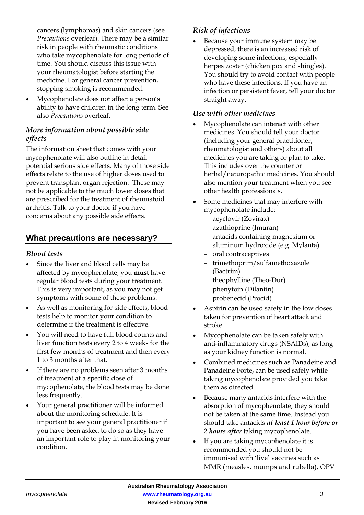cancers (lymphomas) and skin cancers (see *Precautions* overleaf). There may be a similar risk in people with rheumatic conditions who take mycophenolate for long periods of time. You should discuss this issue with your rheumatologist before starting the medicine. For general cancer prevention, stopping smoking is recommended.

• Mycophenolate does not affect a person's ability to have children in the long term. See also *Precautions* overleaf.

# *More information about possible side effects*

The information sheet that comes with your mycophenolate will also outline in detail potential serious side effects. Many of those side effects relate to the use of higher doses used to prevent transplant organ rejection. These may not be applicable to the much lower doses that are prescribed for the treatment of rheumatoid arthritis. Talk to your doctor if you have concerns about any possible side effects.

# **What precautions are necessary?**

#### *Blood tests*

- Since the liver and blood cells may be affected by mycophenolate, you **must** have regular blood tests during your treatment. This is very important, as you may not get symptoms with some of these problems.
- As well as monitoring for side effects, blood tests help to monitor your condition to determine if the treatment is effective.
- You will need to have full blood counts and liver function tests every 2 to 4 weeks for the first few months of treatment and then every 1 to 3 months after that.
- If there are no problems seen after 3 months of treatment at a specific dose of mycophenolate, the blood tests may be done less frequently.
- Your general practitioner will be informed about the monitoring schedule. It is important to see your general practitioner if you have been asked to do so as they have an important role to play in monitoring your condition.

# *Risk of infections*

• Because your immune system may be depressed, there is an increased risk of developing some infections, especially herpes zoster (chicken pox and shingles). You should try to avoid contact with people who have these infections. If you have an infection or persistent fever, tell your doctor straight away.

#### *Use with other medicines*

- Mycophenolate can interact with other medicines. You should tell your doctor (including your general practitioner, rheumatologist and others) about all medicines you are taking or plan to take. This includes over the counter or herbal/naturopathic medicines. You should also mention your treatment when you see other health professionals.
- Some medicines that may interfere with mycophenolate include:
	- acyclovir (Zovirax)
	- [azathioprine](http://www.rheumatology.org/public/factsheets/azathioprine.asp) (Imuran)
	- antacids containing magnesium or aluminum hydroxide (e.g. Mylanta)
	- oral contraceptives
	- trimethoprim/sulfamethoxazole (Bactrim)
	- theophylline (Theo-Dur)
	- phenytoin (Dilantin)
	- probenecid (Procid)
- Aspirin can be used safely in the low doses taken for prevention of heart attack and stroke.
- Mycophenolate can be taken safely with anti-inflammatory drugs (NSAIDs), as long as your kidney function is normal.
- Combined medicines such as Panadeine and Panadeine Forte, can be used safely while taking mycophenolate provided you take them as directed.
- Because many antacids interfere with the absorption of mycophenolate, they should not be taken at the same time. Instead you should take antacids *at least 1 hour before or 2 hours after* **t**aking mycophenolate.
- If you are taking mycophenolate it is recommended you should not be immunised with 'live' vaccines such as MMR (measles, mumps and rubella), OPV